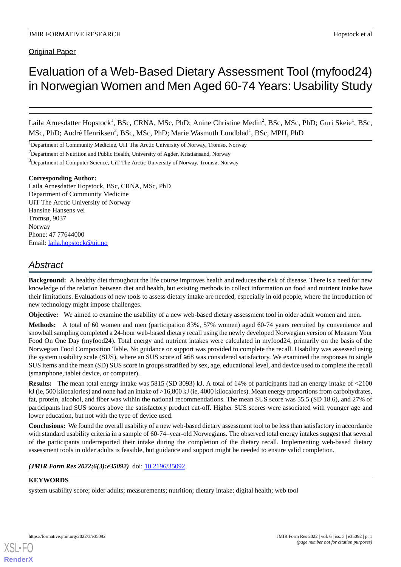Original Paper

# Evaluation of a Web-Based Dietary Assessment Tool (myfood24) in Norwegian Women and Men Aged 60-74 Years: Usability Study

Laila Arnesdatter Hopstock<sup>1</sup>, BSc, CRNA, MSc, PhD; Anine Christine Medin<sup>2</sup>, BSc, MSc, PhD; Guri Skeie<sup>1</sup>, BSc, MSc, PhD; André Henriksen<sup>3</sup>, BSc, MSc, PhD; Marie Wasmuth Lundblad<sup>1</sup>, BSc, MPH, PhD

<sup>1</sup>Department of Community Medicine, UiT The Arctic University of Norway, Tromsø, Norway

<sup>2</sup>Department of Nutrition and Public Health, University of Agder, Kristiansand, Norway

<sup>3</sup>Department of Computer Science, UiT The Arctic University of Norway, Tromsø, Norway

#### **Corresponding Author:**

Laila Arnesdatter Hopstock, BSc, CRNA, MSc, PhD Department of Community Medicine UiT The Arctic University of Norway Hansine Hansens vei Tromsø, 9037 Norway Phone: 47 77644000 Email: [laila.hopstock@uit.no](mailto:laila.hopstock@uit.no)

# *Abstract*

**Background:** A healthy diet throughout the life course improves health and reduces the risk of disease. There is a need for new knowledge of the relation between diet and health, but existing methods to collect information on food and nutrient intake have their limitations. Evaluations of new tools to assess dietary intake are needed, especially in old people, where the introduction of new technology might impose challenges.

**Objective:** We aimed to examine the usability of a new web-based dietary assessment tool in older adult women and men.

**Methods:** A total of 60 women and men (participation 83%, 57% women) aged 60-74 years recruited by convenience and snowball sampling completed a 24-hour web-based dietary recall using the newly developed Norwegian version of Measure Your Food On One Day (myfood24). Total energy and nutrient intakes were calculated in myfood24, primarily on the basis of the Norwegian Food Composition Table. No guidance or support was provided to complete the recall. Usability was assessed using the system usability scale (SUS), where an SUS score of ≥68 was considered satisfactory. We examined the responses to single SUS items and the mean (SD) SUS score in groups stratified by sex, age, educational level, and device used to complete the recall (smartphone, tablet device, or computer).

**Results:** The mean total energy intake was 5815 (SD 3093) kJ. A total of 14% of participants had an energy intake of <2100 kJ (ie, 500 kilocalories) and none had an intake of >16,800 kJ (ie, 4000 kilocalories). Mean energy proportions from carbohydrates, fat, protein, alcohol, and fiber was within the national recommendations. The mean SUS score was 55.5 (SD 18.6), and 27% of participants had SUS scores above the satisfactory product cut-off. Higher SUS scores were associated with younger age and lower education, but not with the type of device used.

**Conclusions:** We found the overall usability of a new web-based dietary assessment tool to be less than satisfactory in accordance with standard usability criteria in a sample of 60-74-year-old Norwegians. The observed total energy intakes suggest that several of the participants underreported their intake during the completion of the dietary recall. Implementing web-based dietary assessment tools in older adults is feasible, but guidance and support might be needed to ensure valid completion.

(JMIR Form Res 2022;6(3):e35092) doi: [10.2196/35092](http://dx.doi.org/10.2196/35092)

#### **KEYWORDS**

system usability score; older adults; measurements; nutrition; dietary intake; digital health; web tool

**[RenderX](http://www.renderx.com/)**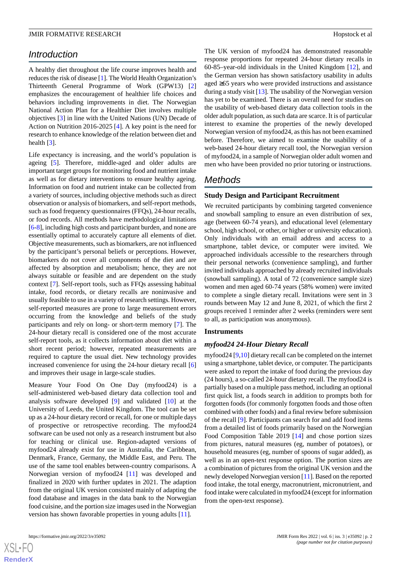# *Introduction*

A healthy diet throughout the life course improves health and reduces the risk of disease [\[1](#page-5-0)]. The World Health Organization's Thirteenth General Programme of Work (GPW13) [\[2](#page-5-1)] emphasizes the encouragement of healthier life choices and behaviors including improvements in diet. The Norwegian National Action Plan for a Healthier Diet involves multiple objectives [[3\]](#page-5-2) in line with the United Nations (UN) Decade of Action on Nutrition 2016-2025 [[4\]](#page-5-3). A key point is the need for research to enhance knowledge of the relation between diet and health [[3\]](#page-5-2).

Life expectancy is increasing, and the world's population is ageing [[5\]](#page-5-4). Therefore, middle-aged and older adults are important target groups for monitoring food and nutrient intake as well as for dietary interventions to ensure healthy ageing. Information on food and nutrient intake can be collected from a variety of sources, including objective methods such as direct observation or analysis of biomarkers, and self-report methods, such as food frequency questionnaires (FFQs), 24-hour recalls, or food records. All methods have methodological limitations [[6](#page-6-0)[-8](#page-6-1)], including high costs and participant burden, and none are essentially optimal to accurately capture all elements of diet. Objective measurements, such as biomarkers, are not influenced by the participant's personal beliefs or perceptions. However, biomarkers do not cover all components of the diet and are affected by absorption and metabolism; hence, they are not always suitable or feasible and are dependent on the study context [[7\]](#page-6-2). Self-report tools, such as FFQs assessing habitual intake, food records, or dietary recalls are noninvasive and usually feasible to use in a variety of research settings. However, self-reported measures are prone to large measurement errors occurring from the knowledge and beliefs of the study participants and rely on long- or short-term memory [\[7](#page-6-2)]. The 24-hour dietary recall is considered one of the most accurate self-report tools, as it collects information about diet within a short recent period; however, repeated measurements are required to capture the usual diet. New technology provides increased convenience for using the 24-hour dietary recall [\[6](#page-6-0)] and improves their usage in large-scale studies.

Measure Your Food On One Day (myfood24) is a self-administered web-based dietary data collection tool and analysis software developed [\[9](#page-6-3)] and validated [\[10](#page-6-4)] at the University of Leeds, the United Kingdom. The tool can be set up as a 24-hour dietary record or recall, for one or multiple days of prospective or retrospective recording. The myfood24 software can be used not only as a research instrument but also for teaching or clinical use. Region-adapted versions of myfood24 already exist for use in Australia, the Caribbean, Denmark, France, Germany, the Middle East, and Peru. The use of the same tool enables between-country comparisons. A Norwegian version of myfood24 [\[11](#page-6-5)] was developed and finalized in 2020 with further updates in 2021. The adaption from the original UK version consisted mainly of adapting the food database and images in the data bank to the Norwegian food cuisine, and the portion size images used in the Norwegian version has shown favorable properties in young adults [\[11](#page-6-5)].

[XSL](http://www.w3.org/Style/XSL)•FO **[RenderX](http://www.renderx.com/)** The UK version of myfood24 has demonstrated reasonable response proportions for repeated 24-hour dietary recalls in 60-85–year-old individuals in the United Kingdom [[12\]](#page-6-6), and the German version has shown satisfactory usability in adults aged ≥65 years who were provided instructions and assistance during a study visit [\[13](#page-6-7)]. The usability of the Norwegian version has yet to be examined. There is an overall need for studies on the usability of web-based dietary data collection tools in the older adult population, as such data are scarce. It is of particular interest to examine the properties of the newly developed Norwegian version of myfood24, as this has not been examined before. Therefore, we aimed to examine the usability of a web-based 24-hour dietary recall tool, the Norwegian version of myfood24, in a sample of Norwegian older adult women and men who have been provided no prior tutoring or instructions.

# *Methods*

#### **Study Design and Participant Recruitment**

We recruited participants by combining targeted convenience and snowball sampling to ensure an even distribution of sex, age (between 60-74 years), and educational level (elementary school, high school, or other, or higher or university education). Only individuals with an email address and access to a smartphone, tablet device, or computer were invited. We approached individuals accessible to the researchers through their personal networks (convenience sampling), and further invited individuals approached by already recruited individuals (snowball sampling). A total of 72 (convenience sample size) women and men aged 60-74 years (58% women) were invited to complete a single dietary recall. Invitations were sent in 3 rounds between May 12 and June 8, 2021, of which the first 2 groups received 1 reminder after 2 weeks (reminders were sent to all, as participation was anonymous).

#### **Instruments**

#### *myfood24 24-Hour Dietary Recall*

myfood24 [[9,](#page-6-3)[10](#page-6-4)] dietary recall can be completed on the internet using a smartphone, tablet device, or computer. The participants were asked to report the intake of food during the previous day (24 hours), a so-called 24-hour dietary recall. The myfood24 is partially based on a multiple pass method, including an optional first quick list, a foods search in addition to prompts both for forgotten foods (for commonly forgotten foods and those often combined with other foods) and a final review before submission of the recall [[9\]](#page-6-3). Participants can search for and add food items from a detailed list of foods primarily based on the Norwegian Food Composition Table 2019 [[14\]](#page-6-8) and chose portion sizes from pictures, natural measures (eg, number of potatoes), or household measures (eg, number of spoons of sugar added), as well as in an open-text response option. The portion sizes are a combination of pictures from the original UK version and the newly developed Norwegian version [[11\]](#page-6-5). Based on the reported food intake, the total energy, macronutrient, micronutrient, and food intake were calculated in myfood24 (except for information from the open-text response).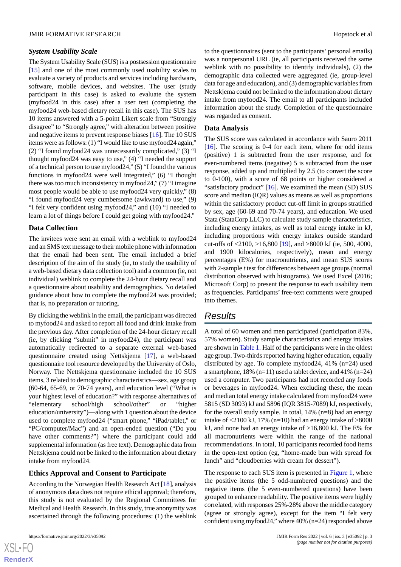#### *System Usability Scale*

The System Usability Scale (SUS) is a postsession questionnaire [[15\]](#page-6-9) and one of the most commonly used usability scales to evaluate a variety of products and services including hardware, software, mobile devices, and websites. The user (study participant in this case) is asked to evaluate the system (myfood24 in this case) after a user test (completing the myfood24 web-based dietary recall in this case). The SUS has 10 items answered with a 5-point Likert scale from "Strongly disagree" to "Strongly agree," with alteration between positive and negative items to prevent response biases [[16\]](#page-6-10). The 10 SUS items were as follows: (1) "I would like to use myfood24 again," (2) "I found myfood24 was unnecessarily complicated," (3) "I thought myfood24 was easy to use," (4) "I needed the support of a technical person to use myfood24," (5) "I found the various functions in myfood24 were well integrated," (6) "I thought there was too much inconsistency in myfood24," (7) "I imagine most people would be able to use myfood24 very quickly," (8) "I found myfood24 very cumbersome (awkward) to use," (9) "I felt very confident using myfood24," and (10) "I needed to learn a lot of things before I could get going with myfood24."

#### **Data Collection**

The invitees were sent an email with a weblink to myfood24 and an SMS text message to their mobile phone with information that the email had been sent. The email included a brief description of the aim of the study (ie, to study the usability of a web-based dietary data collection tool) and a common (ie, not individual) weblink to complete the 24-hour dietary recall and a questionnaire about usability and demographics. No detailed guidance about how to complete the myfood24 was provided; that is, no preparation or tutoring.

By clicking the weblink in the email, the participant was directed to myfood24 and asked to report all food and drink intake from the previous day. After completion of the 24-hour dietary recall (ie, by clicking "submit" in myfood24), the participant was automatically redirected to a separate external web-based questionnaire created using Nettskjema [[17\]](#page-6-11), a web-based questionnaire tool resource developed by the University of Oslo, Norway. The Nettskjema questionnaire included the 10 SUS items, 3 related to demographic characteristics—sex, age group (60-64, 65-69, or 70-74 years), and education level ("What is your highest level of education?" with response alternatives of "elementary school/high school/other" or "higher education/university")—along with 1 question about the device used to complete myfood24 ("smart phone," "iPad/tablet," or "PC/computer/Mac") and an open-ended question ("Do you have other comments?") where the participant could add supplemental information (as free text). Demographic data from Nettskjema could not be linked to the information about dietary intake from myfood24.

#### **Ethics Approval and Consent to Participate**

According to the Norwegian Health Research Act [\[18](#page-6-12)], analysis of anonymous data does not require ethical approval; therefore, this study is not evaluated by the Regional Committees for Medical and Health Research. In this study, true anonymity was ascertained through the following procedures: (1) the weblink

to the questionnaires (sent to the participants' personal emails) was a nonpersonal URL (ie, all participants received the same weblink with no possibility to identify individuals), (2) the demographic data collected were aggregated (ie, group-level data for age and education), and (3) demographic variables from Nettskjema could not be linked to the information about dietary intake from myfood24. The email to all participants included information about the study. Completion of the questionnaire was regarded as consent.

#### **Data Analysis**

The SUS score was calculated in accordance with Sauro 2011 [[16\]](#page-6-10). The scoring is 0-4 for each item, where for odd items (positive) 1 is subtracted from the user response, and for even-numbered items (negative) 5 is subtracted from the user response, added up and multiplied by 2.5 (to convert the score to 0-100), with a score of 68 points or higher considered a "satisfactory product" [[16\]](#page-6-10). We examined the mean (SD) SUS score and median (IQR) values as means as well as proportions within the satisfactory product cut-off limit in groups stratified by sex, age (60-69 and 70-74 years), and education. We used Stata (StataCorp LLC) to calculate study sample characteristics, including energy intakes, as well as total energy intake in kJ, including proportions with energy intakes outside standard cut-offs of <2100, >16,800 [\[19](#page-6-13)], and >8000 kJ (ie, 500, 4000, and 1900 kilocalories, respectively), mean and energy percentages (E%) for macronutrients, and mean SUS scores with 2-sample *t* test for differences between age groups (normal distribution observed with histograms). We used Excel (2016; Microsoft Corp) to present the response to each usability item as frequencies. Participants' free-text comments were grouped into themes.

# *Results*

A total of 60 women and men participated (participation 83%, 57% women). Study sample characteristics and energy intakes are shown in [Table 1.](#page-3-0) Half of the participants were in the oldest age group. Two-thirds reported having higher education, equally distributed by age. To complete myfood24, 41% (n=24) used a smartphone, 18% (n=11) used a tablet device, and 41% (n=24) used a computer. Two participants had not recorded any foods or beverages in myfood24. When excluding these, the mean and median total energy intake calculated from myfood24 were 5815 (SD 3093) kJ and 5896 (IQR 3815-7089) kJ, respectively, for the overall study sample. In total, 14% (n=8) had an energy intake of  $\leq$ 2100 kJ, 17% (n=10) had an energy intake of  $>$ 8000 kJ, and none had an energy intake of >16,800 kJ. The E% for all macronutrients were within the range of the national recommendations. In total, 10 participants recorded food items in the open-text option (eg, "home-made bun with spread for lunch" and "cloudberries with cream for dessert").

The response to each SUS item is presented in [Figure 1,](#page-3-1) where the positive items (the 5 odd-numbered questions) and the negative items (the 5 even-numbered questions) have been grouped to enhance readability. The positive items were highly correlated, with responses 25%-28% above the middle category (agree or strongly agree), except for the item "I felt very confident using myfood24," where 40% (n=24) responded above

 $XS$  $\cdot$ FC **[RenderX](http://www.renderx.com/)**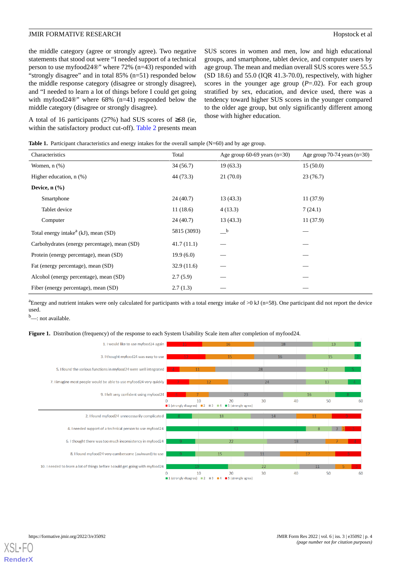the middle category (agree or strongly agree). Two negative statements that stood out were "I needed support of a technical person to use myfood24®" where 72% (n=43) responded with "strongly disagree" and in total 85% (n=51) responded below the middle response category (disagree or strongly disagree), and "I needed to learn a lot of things before I could get going with myfood24<sup>®</sup>" where 68% (n=41) responded below the middle category (disagree or strongly disagree).

<span id="page-3-0"></span>A total of 16 participants (27%) had SUS scores of ≥68 (ie, within the satisfactory product cut-off). [Table 2](#page-4-0) presents mean SUS scores in women and men, low and high educational groups, and smartphone, tablet device, and computer users by age group. The mean and median overall SUS scores were 55.5 (SD 18.6) and 55.0 (IQR 41.3-70.0), respectively, with higher scores in the younger age group  $(P=0.02)$ . For each group stratified by sex, education, and device used, there was a tendency toward higher SUS scores in the younger compared to the older age group, but only significantly different among those with higher education.

| Characteristics                              | Total       | Age group $60-69$ years $(n=30)$        | Age group 70-74 years $(n=30)$ |
|----------------------------------------------|-------------|-----------------------------------------|--------------------------------|
| Women, $n$ $(\%)$                            | 34(56.7)    | 19(63.3)                                | 15(50.0)                       |
| Higher education, $n$ $(\%)$                 | 44 (73.3)   | 21(70.0)                                | 23(76.7)                       |
| Device, $n$ $(\frac{9}{6})$                  |             |                                         |                                |
| Smartphone                                   | 24(40.7)    | 13(43.3)                                | 11(37.9)                       |
| Tablet device                                | 11(18.6)    | 4(13.3)                                 | 7(24.1)                        |
| Computer                                     | 24(40.7)    | 13(43.3)                                | 11(37.9)                       |
| Total energy intake $a(kJ)$ , mean (SD)      | 5815 (3093) | $\overline{\phantom{a}}^{\phantom{a}b}$ |                                |
| Carbohydrates (energy percentage), mean (SD) | 41.7(11.1)  |                                         |                                |
| Protein (energy percentage), mean (SD)       | 19.9(6.0)   |                                         |                                |
| Fat (energy percentage), mean (SD)           | 32.9(11.6)  |                                         |                                |
| Alcohol (energy percentage), mean (SD)       | 2.7(5.9)    |                                         |                                |
| Fiber (energy percentage), mean (SD)         | 2.7(1.3)    |                                         |                                |

<span id="page-3-1"></span><sup>a</sup>Energy and nutrient intakes were only calculated for participants with a total energy intake of  $>0$  kJ (n=58). One participant did not report the device used.

 $<sup>b</sup>$  not available.</sup>

**Figure 1.** Distribution (frequency) of the response to each System Usability Scale item after completion of myfood24.



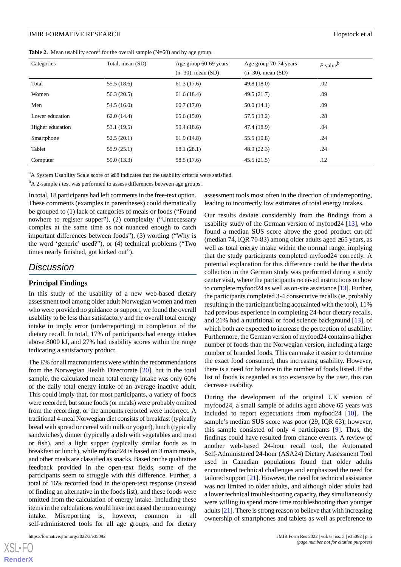#### **JMIR FORMATIVE RESEARCH Hopstock et al. Hopstock et al. Hopstock et al. Hopstock et al.**

<span id="page-4-0"></span>**Table 2.** Mean usability score<sup>a</sup> for the overall sample  $(N=60)$  and by age group.

| Categories       | Total, mean (SD) | Age group 60-69 years<br>$(n=30)$ , mean $(SD)$ | Age group 70-74 years<br>$(n=30)$ , mean $(SD)$ | $P$ value <sup>b</sup> |
|------------------|------------------|-------------------------------------------------|-------------------------------------------------|------------------------|
| Total            | 55.5 (18.6)      | 61.3(17.6)                                      | 49.8(18.0)                                      | .02                    |
| Women            | 56.3(20.5)       | 61.6(18.4)                                      | 49.5(21.7)                                      | .09                    |
| Men              | 54.5 (16.0)      | 60.7(17.0)                                      | 50.0(14.1)                                      | .09                    |
| Lower education  | 62.0(14.4)       | 65.6(15.0)                                      | 57.5 (13.2)                                     | .28                    |
| Higher education | 53.1 (19.5)      | 59.4 (18.6)                                     | 47.4 (18.9)                                     | .04                    |
| Smartphone       | 52.5(20.1)       | 61.9(14.8)                                      | 55.5(10.8)                                      | .24                    |
| Tablet           | 55.9(25.1)       | 68.1(28.1)                                      | 48.9(22.3)                                      | .24                    |
| Computer         | 59.0 (13.3)      | 58.5 (17.6)                                     | 45.5(21.5)                                      | .12                    |

<sup>a</sup>A System Usability Scale score of ≥68 indicates that the usability criteria were satisfied.

<sup>b</sup>A 2-sample *t* test was performed to assess differences between age groups.

In total, 18 participants had left comments in the free-text option. These comments (examples in parentheses) could thematically be grouped to (1) lack of categories of meals or foods ("Found nowhere to register supper"), (2) complexity ("Unnecessary complex at the same time as not nuanced enough to catch important differences between foods"), (3) wording ("Why is the word 'generic' used?"), or (4) technical problems ("Two times nearly finished, got kicked out").

## *Discussion*

#### **Principal Findings**

In this study of the usability of a new web-based dietary assessment tool among older adult Norwegian women and men who were provided no guidance or support, we found the overall usability to be less than satisfactory and the overall total energy intake to imply error (underreporting) in completion of the dietary recall. In total, 17% of participants had energy intakes above 8000 kJ, and 27% had usability scores within the range indicating a satisfactory product.

The E% for all macronutrients were within the recommendations from the Norwegian Health Directorate [\[20](#page-6-14)], but in the total sample, the calculated mean total energy intake was only 60% of the daily total energy intake of an average inactive adult. This could imply that, for most participants, a variety of foods were recorded, but some foods (or meals) were probably omitted from the recording, or the amounts reported were incorrect. A traditional 4-meal Norwegian diet consists of breakfast (typically bread with spread or cereal with milk or yogurt), lunch (typically sandwiches), dinner (typically a dish with vegetables and meat or fish), and a light supper (typically similar foods as in breakfast or lunch), while myfood24 is based on 3 main meals, and other meals are classified as snacks. Based on the qualitative feedback provided in the open-text fields, some of the participants seem to struggle with this difference. Further, a total of 16% recorded food in the open-text response (instead of finding an alternative in the foods list), and these foods were omitted from the calculation of energy intake. Including these items in the calculations would have increased the mean energy intake. Misreporting is, however, common in all self-administered tools for all age groups, and for dietary

[XSL](http://www.w3.org/Style/XSL)•FO **[RenderX](http://www.renderx.com/)**

assessment tools most often in the direction of underreporting, leading to incorrectly low estimates of total energy intakes.

Our results deviate considerably from the findings from a usability study of the German version of myfood24 [[13\]](#page-6-7), who found a median SUS score above the good product cut-off (median 74, IQR 70-83) among older adults aged ≥65 years, as well as total energy intake within the normal range, implying that the study participants completed myfood24 correctly. A potential explanation for this difference could be that the data collection in the German study was performed during a study center visit, where the participants received instructions on how to complete myfood24 as well as on-site assistance [[13](#page-6-7)]. Further, the participants completed 3-4 consecutive recalls (ie, probably resulting in the participant being acquainted with the tool), 11% had previous experience in completing 24-hour dietary recalls, and 21% had a nutritional or food science background [\[13](#page-6-7)], of which both are expected to increase the perception of usability. Furthermore, the German version of myfood24 contains a higher number of foods than the Norwegian version, including a large number of branded foods. This can make it easier to determine the exact food consumed, thus increasing usability. However, there is a need for balance in the number of foods listed. If the list of foods is regarded as too extensive by the user, this can decrease usability.

During the development of the original UK version of myfood24, a small sample of adults aged above 65 years was included to report expectations from myfood24 [[10\]](#page-6-4). The sample's median SUS score was poor (29, IQR 63); however, this sample consisted of only 4 participants [[9\]](#page-6-3). Thus, the findings could have resulted from chance events. A review of another web-based 24-hour recall tool, the Automated Self-Administered 24-hour (ASA24) Dietary Assessment Tool used in Canadian populations found that older adults encountered technical challenges and emphasized the need for tailored support [\[21](#page-6-15)]. However, the need for technical assistance was not limited to older adults, and although older adults had a lower technical troubleshooting capacity, they simultaneously were willing to spend more time troubleshooting than younger adults [\[21](#page-6-15)]. There is strong reason to believe that with increasing ownership of smartphones and tablets as well as preference to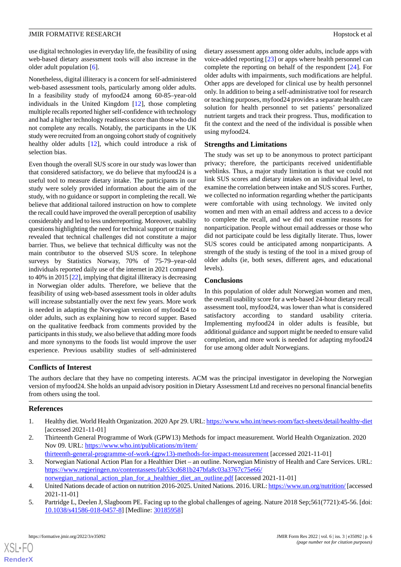use digital technologies in everyday life, the feasibility of using web-based dietary assessment tools will also increase in the older adult population [[6\]](#page-6-0).

Nonetheless, digital illiteracy is a concern for self-administered web-based assessment tools, particularly among older adults. In a feasibility study of myfood24 among 60-85–year-old individuals in the United Kingdom [[12\]](#page-6-6), those completing multiple recalls reported higher self-confidence with technology and had a higher technology readiness score than those who did not complete any recalls. Notably, the participants in the UK study were recruited from an ongoing cohort study of cognitively healthy older adults [\[12](#page-6-6)], which could introduce a risk of selection bias.

Even though the overall SUS score in our study was lower than that considered satisfactory, we do believe that myfood24 is a useful tool to measure dietary intake. The participants in our study were solely provided information about the aim of the study, with no guidance or support in completing the recall. We believe that additional tailored instruction on how to complete the recall could have improved the overall perception of usability considerably and led to less underreporting. Moreover, usability questions highlighting the need for technical support or training revealed that technical challenges did not constitute a major barrier. Thus, we believe that technical difficulty was not the main contributor to the observed SUS score. In telephone surveys by Statistics Norway, 70% of 75-79–year-old individuals reported daily use of the internet in 2021 compared to 40% in 2015 [\[22](#page-6-16)], implying that digital illiteracy is decreasing in Norwegian older adults. Therefore, we believe that the feasibility of using web-based assessment tools in older adults will increase substantially over the next few years. More work is needed in adapting the Norwegian version of myfood24 to older adults, such as explaining how to record supper. Based on the qualitative feedback from comments provided by the participants in this study, we also believe that adding more foods and more synonyms to the foods list would improve the user experience. Previous usability studies of self-administered

dietary assessment apps among older adults, include apps with voice-added reporting [\[23](#page-6-17)] or apps where health personnel can complete the reporting on behalf of the respondent [[24\]](#page-6-18). For older adults with impairments, such modifications are helpful. Other apps are developed for clinical use by health personnel only. In addition to being a self-administrative tool for research or teaching purposes, myfood24 provides a separate health care solution for health personnel to set patients' personalized nutrient targets and track their progress. Thus, modification to fit the context and the need of the individual is possible when using myfood24.

#### **Strengths and Limitations**

The study was set up to be anonymous to protect participant privacy; therefore, the participants received unidentifiable weblinks. Thus, a major study limitation is that we could not link SUS scores and dietary intakes on an individual level, to examine the correlation between intake and SUS scores. Further, we collected no information regarding whether the participants were comfortable with using technology. We invited only women and men with an email address and access to a device to complete the recall, and we did not examine reasons for nonparticipation. People without email addresses or those who did not participate could be less digitally literate. Thus, lower SUS scores could be anticipated among nonparticipants. A strength of the study is testing of the tool in a mixed group of older adults (ie, both sexes, different ages, and educational levels).

#### **Conclusions**

In this population of older adult Norwegian women and men, the overall usability score for a web-based 24-hour dietary recall assessment tool, myfood24, was lower than what is considered satisfactory according to standard usability criteria. Implementing myfood24 in older adults is feasible, but additional guidance and support might be needed to ensure valid completion, and more work is needed for adapting myfood24 for use among older adult Norwegians.

#### **Conflicts of Interest**

<span id="page-5-0"></span>The authors declare that they have no competing interests. ACM was the principal investigator in developing the Norwegian version of myfood24. She holds an unpaid advisory position in Dietary Assessment Ltd and receives no personal financial benefits from others using the tool.

#### <span id="page-5-1"></span>**References**

- <span id="page-5-2"></span>1. Healthy diet. World Health Organization. 2020 Apr 29. URL:<https://www.who.int/news-room/fact-sheets/detail/healthy-diet> [accessed 2021-11-01]
- <span id="page-5-3"></span>2. Thirteenth General Programme of Work (GPW13) Methods for impact measurement. World Health Organization. 2020 Nov 09. URL: [https://www.who.int/publications/m/item/](https://www.who.int/publications/m/item/thirteenth-general-programme-of-work-(gpw13)-methods-for-impact-measurement)

<span id="page-5-4"></span>[thirteenth-general-programme-of-work-\(gpw13\)-methods-for-impact-measurement](https://www.who.int/publications/m/item/thirteenth-general-programme-of-work-(gpw13)-methods-for-impact-measurement) [accessed 2021-11-01]

- 3. Norwegian National Action Plan for a Healthier Diet an outline. Norwegian Ministry of Health and Care Services. URL: [https://www.regjeringen.no/contentassets/fab53cd681b247bfa8c03a3767c75e66/](https://www.regjeringen.no/contentassets/fab53cd681b247bfa8c03a3767c75e66/norwegian_national_action_plan_for_a_healthier_diet_an_outline.pdf)
- norwegian national action plan for a healthier diet an outline.pdf [accessed 2021-11-01]
- 4. United Nations decade of action on nutrition 2016-2025. United Nations. 2016. URL:<https://www.un.org/nutrition/> [accessed 2021-11-01]
- 5. Partridge L, Deelen J, Slagboom PE. Facing up to the global challenges of ageing. Nature 2018 Sep;561(7721):45-56. [doi: [10.1038/s41586-018-0457-8\]](http://dx.doi.org/10.1038/s41586-018-0457-8) [Medline: [30185958](http://www.ncbi.nlm.nih.gov/entrez/query.fcgi?cmd=Retrieve&db=PubMed&list_uids=30185958&dopt=Abstract)]

 $XS$  • FO **[RenderX](http://www.renderx.com/)**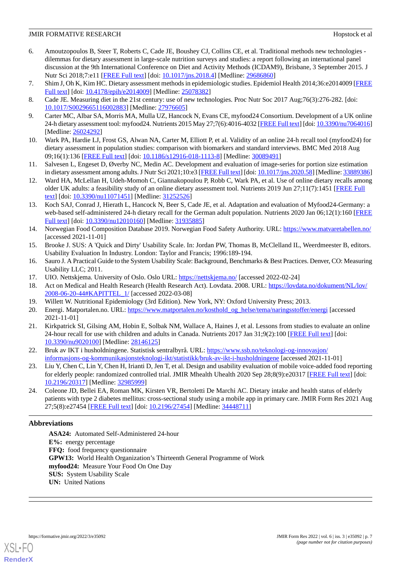- <span id="page-6-0"></span>6. Amoutzopoulos B, Steer T, Roberts C, Cade JE, Boushey CJ, Collins CE, et al. Traditional methods new technologies dilemmas for dietary assessment in large-scale nutrition surveys and studies: a report following an international panel discussion at the 9th International Conference on Diet and Activity Methods (ICDAM9), Brisbane, 3 September 2015. J Nutr Sci 2018;7:e11 [[FREE Full text\]](http://europepmc.org/abstract/MED/29686860) [doi: [10.1017/jns.2018.4](http://dx.doi.org/10.1017/jns.2018.4)] [Medline: [29686860\]](http://www.ncbi.nlm.nih.gov/entrez/query.fcgi?cmd=Retrieve&db=PubMed&list_uids=29686860&dopt=Abstract)
- <span id="page-6-2"></span><span id="page-6-1"></span>7. Shim J, Oh K, Kim HC. Dietary assessment methods in epidemiologic studies. Epidemiol Health 2014;36:e2014009 [\[FREE](https://dx.doi.org/10.4178/epih/e2014009) [Full text\]](https://dx.doi.org/10.4178/epih/e2014009) [doi: [10.4178/epih/e2014009\]](http://dx.doi.org/10.4178/epih/e2014009) [Medline: [25078382\]](http://www.ncbi.nlm.nih.gov/entrez/query.fcgi?cmd=Retrieve&db=PubMed&list_uids=25078382&dopt=Abstract)
- <span id="page-6-3"></span>8. Cade JE. Measuring diet in the 21st century: use of new technologies. Proc Nutr Soc 2017 Aug;76(3):276-282. [doi: [10.1017/S0029665116002883](http://dx.doi.org/10.1017/S0029665116002883)] [Medline: [27976605](http://www.ncbi.nlm.nih.gov/entrez/query.fcgi?cmd=Retrieve&db=PubMed&list_uids=27976605&dopt=Abstract)]
- <span id="page-6-4"></span>9. Carter MC, Albar SA, Morris MA, Mulla UZ, Hancock N, Evans CE, myfood24 Consortium. Development of a UK online 24-h dietary assessment tool: myfood24. Nutrients 2015 May 27;7(6):4016-4032 [\[FREE Full text\]](https://www.mdpi.com/resolver?pii=nu7064016) [doi: [10.3390/nu7064016\]](http://dx.doi.org/10.3390/nu7064016) [Medline: [26024292](http://www.ncbi.nlm.nih.gov/entrez/query.fcgi?cmd=Retrieve&db=PubMed&list_uids=26024292&dopt=Abstract)]
- <span id="page-6-5"></span>10. Wark PA, Hardie LJ, Frost GS, Alwan NA, Carter M, Elliott P, et al. Validity of an online 24-h recall tool (myfood24) for dietary assessment in population studies: comparison with biomarkers and standard interviews. BMC Med 2018 Aug 09;16(1):136 [[FREE Full text\]](https://bmcmedicine.biomedcentral.com/articles/10.1186/s12916-018-1113-8) [doi: [10.1186/s12916-018-1113-8](http://dx.doi.org/10.1186/s12916-018-1113-8)] [Medline: [30089491](http://www.ncbi.nlm.nih.gov/entrez/query.fcgi?cmd=Retrieve&db=PubMed&list_uids=30089491&dopt=Abstract)]
- <span id="page-6-6"></span>11. Salvesen L, Engeset D, Øverby NC, Medin AC. Development and evaluation of image-series for portion size estimation in dietary assessment among adults. J Nutr Sci 2021;10:e3 [\[FREE Full text](https://www.cambridge.org/core/product/identifier/S2048679020000580/type/journal_article)] [doi: [10.1017/jns.2020.58\]](http://dx.doi.org/10.1017/jns.2020.58) [Medline: [33889386\]](http://www.ncbi.nlm.nih.gov/entrez/query.fcgi?cmd=Retrieve&db=PubMed&list_uids=33889386&dopt=Abstract)
- <span id="page-6-7"></span>12. Ward HA, McLellan H, Udeh-Momoh C, Giannakopoulou P, Robb C, Wark PA, et al. Use of online dietary recalls among older UK adults: a feasibility study of an online dietary assessment tool. Nutrients 2019 Jun 27;11(7):1451 [[FREE Full](https://www.mdpi.com/resolver?pii=nu11071451) [text](https://www.mdpi.com/resolver?pii=nu11071451)] [doi: [10.3390/nu11071451\]](http://dx.doi.org/10.3390/nu11071451) [Medline: [31252526\]](http://www.ncbi.nlm.nih.gov/entrez/query.fcgi?cmd=Retrieve&db=PubMed&list_uids=31252526&dopt=Abstract)
- <span id="page-6-8"></span>13. Koch SAJ, Conrad J, Hierath L, Hancock N, Beer S, Cade JE, et al. Adaptation and evaluation of Myfood24-Germany: a web-based self-administered 24-h dietary recall for the German adult population. Nutrients 2020 Jan 06;12(1):160 [\[FREE](https://www.mdpi.com/resolver?pii=nu12010160) [Full text\]](https://www.mdpi.com/resolver?pii=nu12010160) [doi: [10.3390/nu12010160](http://dx.doi.org/10.3390/nu12010160)] [Medline: [31935885](http://www.ncbi.nlm.nih.gov/entrez/query.fcgi?cmd=Retrieve&db=PubMed&list_uids=31935885&dopt=Abstract)]
- <span id="page-6-10"></span><span id="page-6-9"></span>14. Norwegian Food Composition Database 2019. Norwegian Food Safety Authority. URL: <https://www.matvaretabellen.no/> [accessed 2021-11-01]
- <span id="page-6-11"></span>15. Brooke J. SUS: A 'Quick and Dirty' Usability Scale. In: Jordan PW, Thomas B, McClelland IL, Weerdmeester B, editors. Usability Evaluation In Industry. London: Taylor and Francis; 1996:189-194.
- <span id="page-6-12"></span>16. Sauro J. A Practical Guide to the System Usability Scale: Background, Benchmarks & Best Practices. Denver, CO: Measuring Usability LLC; 2011.
- <span id="page-6-14"></span><span id="page-6-13"></span>17. UIO. Nettskjema. University of Oslo. Oslo URL: <https://nettskjema.no/> [accessed 2022-02-24]
- 18. Act on Medical and Health Research (Health Research Act). Lovdata. 2008. URL: [https://lovdata.no/dokument/NL/lov/](https://lovdata.no/dokument/NL/lov/2008-06-20-44#KAPITTEL_1) [2008-06-20-44#KAPITTEL\\_1/](https://lovdata.no/dokument/NL/lov/2008-06-20-44#KAPITTEL_1) [accessed 2022-03-08]
- <span id="page-6-15"></span>19. Willett W. Nutritional Epidemiology (3rd Edition). New York, NY: Oxford University Press; 2013.
- <span id="page-6-16"></span>20. Energi. Matportalen.no. URL: [https://www.matportalen.no/kosthold\\_og\\_helse/tema/naringsstoffer/energi](https://www.matportalen.no/kosthold_og_helse/tema/naringsstoffer/energi) [accessed 2021-11-01]
- <span id="page-6-17"></span>21. Kirkpatrick SI, Gilsing AM, Hobin E, Solbak NM, Wallace A, Haines J, et al. Lessons from studies to evaluate an online 24-hour recall for use with children and adults in Canada. Nutrients 2017 Jan 31;9(2):100 [[FREE Full text](https://www.mdpi.com/resolver?pii=nu9020100)] [doi: [10.3390/nu9020100\]](http://dx.doi.org/10.3390/nu9020100) [Medline: [28146125\]](http://www.ncbi.nlm.nih.gov/entrez/query.fcgi?cmd=Retrieve&db=PubMed&list_uids=28146125&dopt=Abstract)
- <span id="page-6-18"></span>22. Bruk av IKT i husholdningene. Statistisk sentralbyrå. URL: [https://www.ssb.no/teknologi-og-innovasjon/](https://www.ssb.no/teknologi-og-innovasjon/informasjons-og-kommunikasjonsteknologi-ikt/statistikk/bruk-av-ikt-i-husholdningene) [informasjons-og-kommunikasjonsteknologi-ikt/statistikk/bruk-av-ikt-i-husholdningene](https://www.ssb.no/teknologi-og-innovasjon/informasjons-og-kommunikasjonsteknologi-ikt/statistikk/bruk-av-ikt-i-husholdningene) [accessed 2021-11-01]
- 23. Liu Y, Chen C, Lin Y, Chen H, Irianti D, Jen T, et al. Design and usability evaluation of mobile voice-added food reporting for elderly people: randomized controlled trial. JMIR Mhealth Uhealth 2020 Sep 28;8(9):e20317 [[FREE Full text\]](https://mhealth.jmir.org/2020/9/e20317/) [doi: [10.2196/20317\]](http://dx.doi.org/10.2196/20317) [Medline: [32985999\]](http://www.ncbi.nlm.nih.gov/entrez/query.fcgi?cmd=Retrieve&db=PubMed&list_uids=32985999&dopt=Abstract)
- 24. Coleone JD, Bellei EA, Roman MK, Kirsten VR, Bertoletti De Marchi AC. Dietary intake and health status of elderly patients with type 2 diabetes mellitus: cross-sectional study using a mobile app in primary care. JMIR Form Res 2021 Aug 27;5(8):e27454 [\[FREE Full text](https://formative.jmir.org/2021/8/e27454/)] [doi: [10.2196/27454\]](http://dx.doi.org/10.2196/27454) [Medline: [34448711\]](http://www.ncbi.nlm.nih.gov/entrez/query.fcgi?cmd=Retrieve&db=PubMed&list_uids=34448711&dopt=Abstract)

### **Abbreviations**

**ASA24:** Automated Self-Administered 24-hour **E%:** energy percentage **FFQ:** food frequency questionnaire **GPW13:** World Health Organization's Thirteenth General Programme of Work **myfood24:** Measure Your Food On One Day **SUS:** System Usability Scale **UN:** United Nations